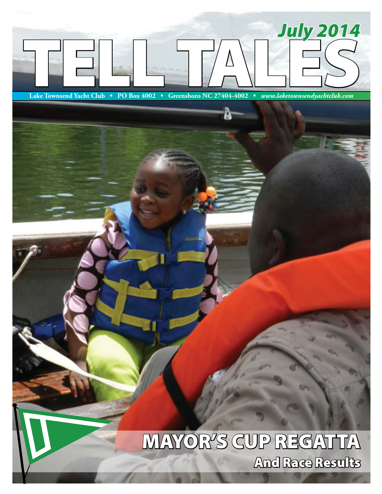

# MAYOR'S CUP REGATTA And Race Results

Issue 6 • July 2014 *www.laketownsendyachtclub.com*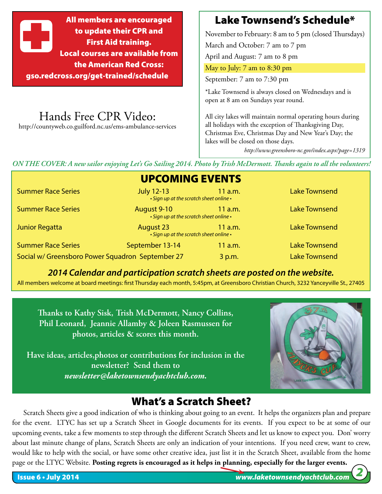All members are encouraged to update their CPR and First Aid training. Local courses are available from the American Red Cross: gso.redcross.org/get-trained/schedule

Hands Free CPR Video: http://countyweb.co.guilford.nc.us/ems-ambulance-services

### Lake Townsend's Schedule\*

November to February: 8 am to 5 pm (closed Thursdays)

March and October: 7 am to 7 pm

April and August: 7 am to 8 pm

May to July: 7 am to 8:30 pm

September: 7 am to 7:30 pm

\*Lake Townsend is always closed on Wednesdays and is open at 8 am on Sundays year round.

All city lakes will maintain normal operating hours during all holidays with the exception of Thanksgiving Day, Christmas Eve, Christmas Day and New Year's Day; the lakes will be closed on those days.

*http://www.greensboro-nc.gov/index.aspx?page=1319*

*ON THE COVER: A new sailor enjoying Let's Go Sailing 2014. Photo by Trish McDermott. Thanks again to all the volunteers!*

### UPCOMING EVENTS

*• Sign up at the scratch sheet online •* 

*• Sign up at the scratch sheet online •* 

Summer Race Series **Summer Race Series July 12-13** 11 a.m. Lake Townsend

Summer Race Series **August 9-10** 11 a.m. Lake Townsend

Junior Regatta **August 23** 11 a.m. Lake Townsend

*• Sign up at the scratch sheet online •*  Summer Race Series September 13-14 11 a.m. Lake Townsend Social w/ Greensboro Power Squadron September 27 3 p.m. Lake Townsend

*2014 Calendar and participation scratch sheets are posted on the website.*

All members welcome at board meetings: first Thursday each month, 5:45pm, at Greensboro Christian Church, 3232 Yanceyville St., 27405

**Thanks to Kathy Sisk, Trish McDermott, Nancy Collins, Phil Leonard, Jeannie Allamby & Joleen Rasmussen for photos, articles & scores this month.** 

**Have ideas, articles,photos or contributions for inclusion in the newsletter? Send them to** *newsletter@laketownsendyachtclub.com.*



### What's a Scratch Sheet?

Scratch Sheets give a good indication of who is thinking about going to an event. It helps the organizers plan and prepare for the event. LTYC has set up a Scratch Sheet in Google documents for its events. If you expect to be at some of our upcoming events, take a few moments to step through the different Scratch Sheets and let us know to expect you. Don' worry about last minute change of plans, Scratch Sheets are only an indication of your intentions. If you need crew, want to crew, would like to help with the social, or have some other creative idea, just list it in the Scratch Sheet, available from the home page or the LTYC Website. **Posting regrets is encouraged as it helps in planning, especially for the larger events.**

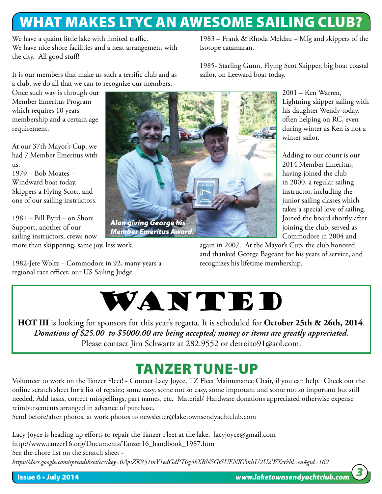## WHAT MAKES LTYC AN AWESOME SAILING CLUB?

Isotope catamaran.

sailor, on Leeward boat today.

We have a quaint little lake with limited traffic. We have nice shore facilities and a neat arrangement with the city. All good stuff!

It is our members that make us such a terrific club and as a club, we do all that we can to recognize our members.

Once such way is through our Member Emeritus Program which requires 10 years membership and a certain age requirement.

At our 37th Mayor's Cup, we had 7 Member Emeritus with us.

1979 – Bob Moates – Windward boat today. Skippers a Flying Scott, and one of our sailing instructors.

1981 – Bill Byrd – on Shore Support, another of our sailing instructors, crews now more than skippering, same joy, less work.

1982-Jere Woltz – Commodore in 92, many years a regional race officer, our US Sailing Judge.



2001 – Ken Warren, Lightning skipper sailing with his daughter Wendy today, often helping on RC, even during winter as Ken is not a winter sailor.

Adding to our count is our 2014 Member Emeritus, having joined the club in 2000, a regular sailing instructor, including the junior sailing classes which takes a special love of sailing. Joined the board shortly after joining the club, served as Commodore in 2004 and

again in 2007. At the Mayor's Cup, the club honored and thanked George Bageant for his years of service, and recognizes his lifetime membership.

1983 – Frank & Rhoda Meldau – Mfg and skippers of the

1985- Starling Gunn, Flying Scot Skipper, big boat coastal



**HOT III** is looking for sponsors for this year's regatta. It is scheduled for **October 25th & 26th, 2014**. *Donations of \$25.00 to \$5000.00 are being accepted; money or items are greatly appreciated.*  Please contact Jim Schwartz at 282.9552 or detroito91@aol.com.

# TANZER TUNE-UP

Volunteer to work on the Tanzer Fleet! - Contact Lacy Joyce, TZ Fleet Maintenance Chair, if you can help. Check out the online scratch sheet for a list of repairs; some easy, some not so easy, some important and some not so important but still needed. Add tasks, correct misspellings, part names, etc. Material/ Hardware donations appreciated otherwise expense reimbursements arranged in advance of purchase.

Send before/after photos, at work photos to newsletter@laketownsendyachtclub.com

Lacy Joyce is heading up efforts to repair the Tanzer Fleet at the lake. lacyjoyce@gmail.com http://www.tanzer16.org/Documents/Tanzer16\_handbook\_1987.htm See the chore list on the scratch sheet -

*https://docs.google.com/spreadsheet/ccc?key=0ApsZK851mY1edGdPT0g5bXBNSGtSUENRVmliU2U2WXc&hl=en#gid=162*

*3*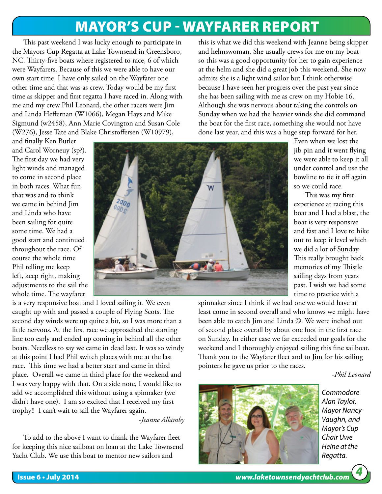## MAYOR'S CUP - WAYFARER REPORT

This past weekend I was lucky enough to participate in the Mayors Cup Regatta at Lake Townsend in Greensboro, NC. Thirty-five boats where registered to race, 6 of which were Wayfarers. Because of this we were able to have our own start time. I have only sailed on the Wayfarer one other time and that was as crew. Today would be my first time as skipper and first regatta I have raced in. Along with me and my crew Phil Leonard, the other racers were Jim and Linda Heffernan (W1066), Megan Hays and Mike Sigmund (w2458), Ann Marie Covington and Susan Cole (W276), Jesse Tate and Blake Christoffersen (W10979),

this is what we did this weekend with Jeanne being skipper and helmswoman. She usually crews for me on my boat so this was a good opportunity for her to gain experience at the helm and she did a great job this weekend. She now admits she is a light wind sailor but I think otherwise because I have seen her progress over the past year since she has been sailing with me as crew on my Hobie 16. Although she was nervous about taking the controls on Sunday when we had the heavier winds she did command the boat for the first race, something she would not have done last year, and this was a huge step forward for her.

> Even when we lost the jib pin and it went flying we were able to keep it all under control and use the bowline to tie it off again

so we could race.

This was my first experience at racing this boat and I had a blast, the boat is very responsive and fast and I love to hike out to keep it level which we did a lot of Sunday. This really brought back memories of my Thistle sailing days from years past. I wish we had some time to practice with a

and finally Ken Butler and Carol Worneuy (sp?). The first day we had very light winds and managed to come in second place in both races. What fun that was and to think we came in behind Jim and Linda who have been sailing for quite some time. We had a good start and continued throughout the race. Of course the whole time Phil telling me keep left, keep right, making adjustments to the sail the whole time. The wayfarer



is a very responsive boat and I loved sailing it. We even caught up with and passed a couple of Flying Scots. The second day winds were up quite a bit, so I was more than a little nervous. At the first race we approached the starting line too early and ended up coming in behind all the other boats. Needless to say we came in dead last. It was so windy at this point I had Phil switch places with me at the last race. This time we had a better start and came in third place. Overall we came in third place for the weekend and I was very happy with that. On a side note, I would like to add we accomplished this without using a spinnaker (we didn't have one). I am so excited that I received my first trophy!! I can't wait to sail the Wayfarer again. *-Jeanne Allamby*

To add to the above I want to thank the Wayfarer fleet for keeping this nice sailboat on loan at the Lake Townsend Yacht Club. We use this boat to mentor new sailors and

spinnaker since I think if we had one we would have at least come in second overall and who knows we might have been able to catch Jim and Linda  $\odot$ . We were inched out of second place overall by about one foot in the first race on Sunday. In either case we far exceeded our goals for the weekend and I thoroughly enjoyed sailing this fine sailboat. Thank you to the Wayfarer fleet and to Jim for his sailing pointers he gave us prior to the races.

*-Phil Leonard*



*Commodore Alan Taylor, Mayor Nancy Vaughn, and Mayor's Cup Chair Uwe Heine at the Regatta.*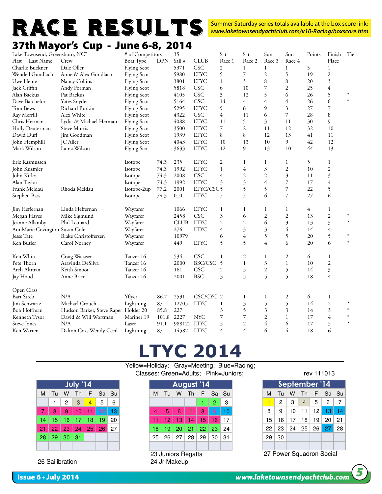

Summer Saturday series totals available at the box score link: *www.laketownsendyachtclub.com/v10-Racing/boxscore.htm*

### 37th Mayor's Cup - June 6-8, 2014

| Lake Townsend, Greensboro, NC" |                                      | # of Competitors   |       | 35          |                      | Sat            | Sat                      | Sun                      | Sun                      | Points | Finish         | Tie    |
|--------------------------------|--------------------------------------|--------------------|-------|-------------|----------------------|----------------|--------------------------|--------------------------|--------------------------|--------|----------------|--------|
| First Last Name                | Crew                                 | Boat Type          | DPN   | Sail #      | <b>CLUB</b>          | Race 1         | Race 2                   | Race 3                   | Race 4                   |        | Place          |        |
| Charlie Buckner                | Dale Oller                           | <b>Flying Scot</b> |       | 5971        | <b>CSC</b>           | 2              |                          |                          |                          | -5     |                |        |
| Wendell Gundlach               | Anne & Alex Gundlach                 | <b>Flying Scot</b> |       | 5980        | <b>LTYC</b>          | 5              | $\overline{7}$           | $\mathfrak{2}$           | $\varsigma$              | 19     | 2              |        |
| Uwe Heine                      | Nancy Collins                        | <b>Flying Scot</b> |       | 3801        | <b>LTYC</b>          | $\mathbf{1}$   | 3                        | 8                        |                          | $20\,$ | $\mathcal{Z}$  |        |
| Jack Griffin                   | Andy Forman                          | <b>Flying Scot</b> |       | 5818        | <b>CSC</b>           | 6              | 10                       |                          |                          | 25     |                |        |
| Alan Backus                    | Pat Backus                           | <b>Flying Scot</b> |       | 4105        | <b>CSC</b>           | 3              | 12                       | $\overline{\phantom{0}}$ | 6                        | 26     | $\overline{5}$ |        |
| Dave Batchelor                 | Yates Snyder                         | <b>Flying Scot</b> |       | 5164        | <b>CSC</b>           | 14             | $\overline{4}$           |                          |                          | $26\,$ | 6              | $\ast$ |
| Tom Bews                       | Richard Burkin                       | <b>Flying Scot</b> |       | 5295        | <b>LTYC</b>          | $\mathbf{Q}$   | 6                        | $\Omega$                 | $\mathbf{3}$             | 27     | $\overline{7}$ |        |
| Ray Merrill                    | Alex White                           | <b>Flying Scot</b> |       | 4322        | CSC                  | 4              | 11                       | 6                        |                          | 28     | 8              |        |
| Chris Herman                   | Lydia & Michael Herman               | <b>Flying Scot</b> |       | 4088        | <b>LTYC</b>          | 11             | 5                        | $\overline{3}$           | $1\,1$                   | 30     | Q              |        |
| Holly Deuterman                | Steve Morris                         | <b>Flying Scot</b> |       | 3500        | <b>LTYC</b>          | 7              | 2                        | 11                       | 12                       | 32     | 10             |        |
| David Duff                     | Jim Goodman                          | <b>Flying Scot</b> |       | 1939        | <b>LTYC</b>          | 8              | 8                        | 12                       | 13                       | 41     | 11             |        |
| John Hemphill                  | JC Aller                             | <b>Flying Scot</b> |       | 4043        | <b>LTYC</b>          | 10             | 13                       | $10\,$                   | 9                        | $42\,$ | 12             |        |
| Mark Wilson                    | Laina Wilson                         | <b>Flying Scot</b> |       | 3633        | <b>LTYC</b>          | 12             | 9                        | 13                       | 10                       | 44     | 13             |        |
| Eric Rasmussen                 |                                      | Isotope            | 74.3  | 235         | <b>LTYC</b>          | 2              |                          |                          |                          | 5      |                |        |
| John Kuzmier                   |                                      | Isotope            | 74.3  | 1992        | <b>LTYC</b>          |                |                          | 3                        | $\mathfrak{2}$           | $10\,$ | 2              |        |
| John Kirles                    |                                      | Isotope            | 74.3  | 2008        | <b>CSC</b>           | 4              | $\overline{2}$           | $\overline{c}$           | $\mathbf{3}$             | 11     |                |        |
| Alan Taylor                    |                                      | Isotope            | 74.3  | 1992        | <b>LTYC</b>          | 3              | 3                        |                          |                          | 17     |                |        |
| Frank Meldau                   | Rhoda Meldau                         | Isotope-2up        | 77.2  | 2001        | LTYC/CSC5            |                | 5                        |                          |                          | $22\,$ |                |        |
| Stephen Bass                   |                                      | Isotope            | 74.3  | $0_0$       | <b>LTYC</b>          | 7              | $\overline{7}$           | 6                        | $\overline{7}$           | 27     | 6              |        |
| Jim Heffernan                  | Linda Heffernan                      | Wayfarer           |       | 1066        | <b>LTYC</b>          |                |                          |                          |                          | 4      |                |        |
| Megan Hayes                    | Mike Sigmund                         | Wayfarer           |       | 2458        | <b>CSC</b>           | 3              | 6                        | $\overline{2}$           | $\mathfrak{2}$           | 13     | 2              |        |
| Jeanne Allamby                 | Phil Leonard                         | Wayfarer           |       | <b>CLUB</b> | <b>LTYC</b>          | $\overline{2}$ | $\overline{2}$           | 6                        | 3                        | 13     | $\mathcal{Z}$  |        |
| AnnMarie Covington Susan Cole  |                                      | Wayfarer           |       | 276         | <b>LTYC</b>          | 4              | 3                        | 3                        |                          | 14     |                |        |
| Jesse Tate                     | <b>Blake Christoffersen</b>          | Wayfarer           |       | 10979       |                      | 6              |                          |                          | $\overline{\phantom{0}}$ | $20\,$ | $\varsigma$    |        |
| Ken Butler                     | Carol Norney                         | Wayfarer           |       | 449         | <b>LTYC</b>          | 5              | $\overline{5}$           |                          | 6                        | 20     | 6              |        |
| Ken Whitt                      | Craig Wacaser                        | Tanzer 16          |       | 534         | <b>CSC</b>           |                | $\overline{2}$           |                          | 2                        | 6      |                |        |
| Pete Thorn                     | Aravinda DeSilva                     | Tanzer 16          |       | 2000        | BSC/CSC 5            |                |                          | 3                        |                          | 10     | 2              |        |
| Arch Altman                    | Keith Smoot                          | Tanzer 16          |       | 161         | CSC                  | $\overline{2}$ | 5                        | $\mathfrak{2}$           | 5                        | 14     | 3              |        |
| Jay Hood                       | Anne Brice                           | Tanzer 16          |       | 2001        | <b>BSC</b>           | $\overline{3}$ | $\overline{\phantom{0}}$ | $\varsigma$              | $\varsigma$              | 18     |                |        |
| Open Class                     |                                      |                    |       |             |                      |                |                          |                          |                          |        |                |        |
| <b>Bart Streb</b>              | N/A                                  | Yflyer             | 86.7  | 2531        | CSC/CYC <sub>2</sub> |                |                          |                          |                          | 6      |                |        |
| Jim Schwartz                   | Michael Crouch                       | Lightning          | 87    | 12705       | <b>LTYC</b>          |                | $\overline{3}$           |                          |                          | 14     | $\overline{2}$ |        |
| Bob Hoffman                    | Hudson Barker, Steve Raper Holder 20 |                    | 85.8  | 227         |                      | 3              | 5                        | 3                        | $\mathbf{z}$             | 14     | $\mathcal{Z}$  |        |
| Kenneth Tysor                  | David & Will Wortman                 | Mariner 19         | 101.8 | 2227        | <b>NYC</b>           | 7              |                          | $\overline{2}$           |                          | 17     |                |        |
| Steve Jones                    | N/A                                  | Laser              | 91.1  | 988122 LTYC |                      | 5              | $\overline{2}$           | 4                        | 6                        | 17     | $\varsigma$    |        |
| Ken Warren                     | Dalton Cox, Wendy Cecil              | Lightning          | 87    |             | 14582 LTYC           | 4              |                          | 6                        |                          | 18     | 6              |        |
|                                |                                      |                    |       |             |                      |                |                          |                          |                          |        |                |        |

#### **LTYC 2014** 3-4 Great 48 (FS) Yellow=Holiday; Gray=Meeting; Blue=Racing;

M Tu W Th F Sa Su **M Tu W Th F Sa Su** M Tu W Th F Sa Su 1 123456 123 July '14 and the late of the August '14 31 LGS Classes: Green=Adults; Pink=Juniors; rev 111013 2345678 6 7 8 9 10 11 12 3456789 **Example 12** The Library of the Library of August 14 The September 1

|                 |                 | 2              | 3               | $\overline{4}$ | $5\,$      | 6          |              |      |                    |         |                            | 2.              | 3  |    | 2               | 3                        | 4  | 5               | 6                |  |
|-----------------|-----------------|----------------|-----------------|----------------|------------|------------|--------------|------|--------------------|---------|----------------------------|-----------------|----|----|-----------------|--------------------------|----|-----------------|------------------|--|
|                 | 8               | 9 <sub>1</sub> | 10 <sub>l</sub> |                | $11$ 12 13 |            | 4            | 67   | 6                  |         | 8                          | -9              | 10 | 8  | 9               | 10 <sup>1</sup>          | 11 | 12 <sub>1</sub> | 13               |  |
| 14.             | 15.             | 16.            | 17              | $ 18\rangle$   | 19         | -20        |              | 12 I | <b>T31</b>         | \14   \ | 15 I                       | 16 <sup>1</sup> | 17 | 15 | 16 <sub>1</sub> | 17                       | 18 | 19              | $20 \mid 2^{-1}$ |  |
| 21              |                 | 22   23   24   |                 | 25             | 26         | $\vert$ 27 | 18           | 19   | 20                 | 21      | $\mid$ 22 $\mid$ 23 $\mid$ |                 | 24 | 22 | $23 \mid$       | 24 <sup>1</sup>          | 25 | 26              | $27$ 28          |  |
| 28 <sup>1</sup> |                 | $29$ 30 31     |                 |                |            |            | 25           | 26   | 27                 | 28      | 29                         | ⊣ 30 ՝          | 31 | 29 | 30              |                          |    |                 |                  |  |
|                 |                 |                |                 |                |            |            |              |      |                    |         |                            |                 |    |    |                 |                          |    |                 |                  |  |
|                 |                 |                |                 |                |            |            |              |      | 23 Juniors Regatta |         |                            |                 |    |    |                 | 27 Power Squadron Social |    |                 |                  |  |
|                 | 26 Sailibration |                |                 |                |            |            | 24 Jr Makeup |      |                    |         |                            |                 |    |    |                 |                          |    |                 |                  |  |

25 Race Management

rev 111013

| September '14<br>Sa Su<br>W<br>M<br>F.<br>Th<br>Tu |
|----------------------------------------------------|
|                                                    |
|                                                    |
| ⇁<br>5<br>2<br>3<br>6<br>$\overline{4}$            |
| 13<br>8<br>9<br>11<br>12 <sub>1</sub><br>10<br>٦4٠ |
| 15<br>17<br>20<br>16<br>18<br>19<br>21             |
| 25<br>28<br>22<br>23<br>26<br>27<br>24             |
| 29<br>30                                           |
|                                                    |

6-8 Mayor's Cup

27 Power Squadron Social

| 26 Sailibration |  |
|-----------------|--|

6 Piedmont Interclub (LTYC)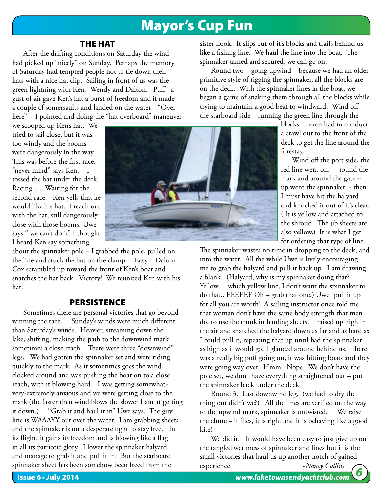### Mayor's Cup Fun

#### THE HAT

After the drifting conditions on Saturday the wind had picked up "nicely" on Sunday. Perhaps the memory of Saturday had tempted people not to tie down their hats with a nice hat clip. Sailing in front of us was the green lightning with Ken, Wendy and Dalton. Puff –a gust of air gave Ken's hat a burst of freedom and it made a couple of somersaults and landed on the water. "Over here" - I pointed and doing the "hat overboard" maneuver

we scooped up Ken's hat. We tried to sail close, but it was too windy and the booms were dangerously in the way. This was before the first race. "never mind" says Ken. I tossed the hat under the deck. Racing …. Waiting for the second race. Ken yells that he would like his hat. I reach out with the hat, still dangerously close with those booms. Uwe says " we can't do it" I thought I heard Ken say something

about the spinnaker pole – I grabbed the pole, pulled on the line and stuck the hat on the clamp. Easy – Dalton Cox scrambled up toward the front of Ken's boat and snatches the hat back. Victory! We reunited Ken with his hat.

#### **PERSISTENCE**

Sometimes there are personal victories that go beyond winning the race. Sunday's winds were much different than Saturday's winds. Heavier, streaming down the lake, shifting, making the path to the downwind mark sometimes a close reach. There were three "downwind" legs, We had gotten the spinnaker set and were riding quickly to the mark. As it sometimes goes the wind clocked around and was pushing the boat on to a close reach, with it blowing hard. I was getting somewhatvery-extremely anxious and we were getting close to the mark (the faster then wind blows the slower I am at getting it down.). "Grab it and haul it in" Uwe says. The guy line is WAAAYY out over the water. I am grabbing sheets and the spinnaker is on a desperate fight to stay free. In its flight, it gains its freedom and is blowing like a flag in all its patriotic glory. I lower the spinnaker halyard and manage to grab it and pull it in. But the starboard spinnaker sheet has been somehow been freed from the



sister hook. It slips out of it's blocks and trails behind us like a fishing line. We haul the line into the boat. The spinnaker tamed and secured, we can go on.

Round two – going upwind – because we had an older primitive style of rigging the spinnaker, all the blocks are on the deck. With the spinnaker lines in the boat, we began a game of snaking them through all the blocks while trying to maintain a good beat to windward. Wind off the starboard side – running the green line through the

blocks. I even had to conduct a crawl out to the front of the deck to get the line around the forestay.

Wind off the port side, the red line went on. – round the mark and around the gate – up went the spinnaker - then I must have hit the halyard and knocked it out of it's cleat. ( It is yellow and attached to the shroud. The jib sheets are also yellow.) It is what I get for ordering that type of line.

The spinnaker wastes no time in dropping to the deck, and into the water. All the while Uwe is lively encouraging me to grab the halyard and pull it back up. I am drawing a blank. (Halyard, why is my spinnaker doing that? Yellow… which yellow line, I don't want the spinnaker to do that.. EEEEEE Oh – grab that one.) Uwe "pull it up for all you are worth! A sailing instructor once told me that woman don't have the same body strength that men do, to use the trunk in hauling sheets. I raised up high in the air and snatched the halyard down as far and as hard as I could pull it, repeating that up until had the spinnaker as high as it would go, I glanced around behind us. There was a really big puff going on, it was hitting boats and they were going way over. Hmm. Nope. We don't have the pole set, we don't have everything straightened out – put the spinnaker back under the deck.

Round 3. Last downwind leg. (we had to dry the thing out didn't we?) All the lines are verified on the way to the upwind mark, spinnaker is untwisted. We raise the chute – it flies, it is right and it is behaving like a good kite!

Issue 6 • July 2014 *www.laketownsendyachtclub.com 6* We did it. It would have been easy to just give up on the tangled wet mess of spinnaker and lines but it is the small victories that haul us up another notch of gained  $-$ *Nancy Collins*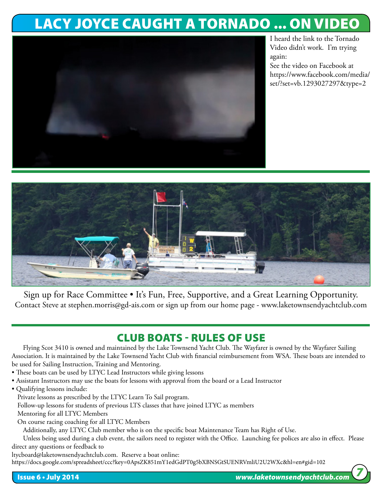## LACY JOYCE CAUGHT A TORNADO ... ON VIDEO



I heard the link to the Tornado Video didn't work. I'm trying again:

See the video on Facebook at https://www.facebook.com/media/ set/?set=vb.1293027297&type=2



Sign up for Race Committee • It's Fun, Free, Supportive, and a Great Learning Opportunity. Contact Steve at stephen.morris@gd-ais.com or sign up from our home page - www.laketownsendyachtclub.com

### CLUB BOATS - RULES OF USE

Flying Scot 3410 is owned and maintained by the Lake Townsend Yacht Club. The Wayfarer is owned by the Wayfarer Sailing Association. It is maintained by the Lake Townsend Yacht Club with financial reimbursement from WSA. These boats are intended to be used for Sailing Instruction, Training and Mentoring.

- These boats can be used by LTYC Lead Instructors while giving lessons
- Assistant Instructors may use the boats for lessons with approval from the board or a Lead Instructor
- Qualifying lessons include:
	- Private lessons as prescribed by the LTYC Learn To Sail program.

Follow-up lessons for students of previous LTS classes that have joined LTYC as members

Mentoring for all LTYC Members

On course racing coaching for all LTYC Members

Additionally, any LTYC Club member who is on the specific boat Maintenance Team has Right of Use.

Unless being used during a club event, the sailors need to register with the Office. Launching fee polices are also in effect. Please direct any questions or feedback to

ltycboard@laketownsendyachtclub.com. Reserve a boat online:

https://docs.google.com/spreadsheet/ccc?key=0ApsZK851mY1edGdPT0g5bXBNSGtSUENRVmliU2U2WXc&hl=en#gid=102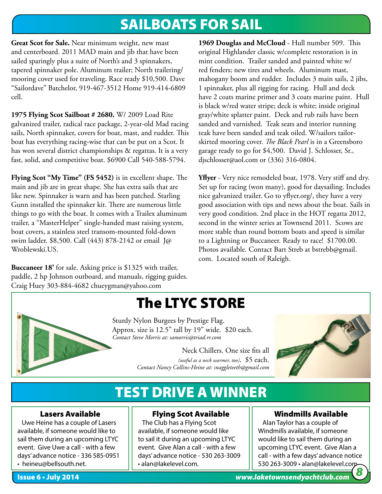## SAILBOATS FOR SAIL

**Great Scot for Sale.** Near minimum weight, new mast and centerboard. 2011 MAD main and jib that have been sailed sparingly plus a suite of North's and 3 spinnakers, tapered spinnaker pole. Aluminum trailer; North trailering/ mooring cover used for traveling. Race ready \$10,500. Dave "Sailordave" Batchelor, 919-467-3512 Home 919-414-6809 cell.

**1975 Flying Scot Sailboat # 2680.** W/ 2009 Load Rite galvanized trailer, radical race package, 2-year-old Mad racing sails, North spinnaker, covers for boat, mast, and rudder. This boat has everything racing-wise that can be put on a Scot. It has won several district championships & regattas. It is a very fast, solid, and competitive boat. \$6900 Call 540-588-5794.

**Flying Scot "My Time" (FS 5452)** is in excellent shape. The main and jib are in great shape. She has extra sails that are like new. Spinnaker is warn and has been patched. Starling Gunn installed the spinnaker kit. There are numerous little things to go with the boat. It comes with a Trailex aluminum trailer, a "MasterHelper" single-handed mast raising system, boat covers, a stainless steel transom-mounted fold-down swim ladder. \$8,500. Call (443) 878-2142 or email J@ Wroblewski.US.

**Buccaneer 18'** for sale. Asking price is \$1325 with trailer, paddle, 2 hp Johnson outboard, and manuals, rigging guides. Craig Huey 303-884-4682 chueygman@yahoo.com

**1969 Douglas and McCloud** - Hull number 509. This original Highlander classic w/complete restoration is in mint condition. Trailer sanded and painted white w/ red fenders; new tires and wheels. Aluminum mast, mahogany boom and rudder. Includes 3 main sails, 2 jibs, 1 spinnaker, plus all rigging for racing. Hull and deck have 2 coats marine primer and 3 coats marine paint. Hull is black w/red water stripe; deck is white; inside original gray/white splatter paint. Deck and rub rails have been sanded and varnished. Teak seats and interior running teak have been sanded and teak oiled. W/sailors tailorskirted mooring cover. *The Black Pearl* is in a Greensboro garage ready to go for \$4,500. David J. Schlosser, Sr., djschlosser@aol.com or (336) 316-0804.

**Yflyer** - Very nice remodeled boat, 1978. Very stiff and dry. Set up for racing (won many), good for daysailing. Includes nice galvanized trailer. Go to yflyer.org/, they have a very good association with tips and news about the boat. Sails in very good condition. 2nd place in the HOT regatta 2012, second in the winter series at Townsend 2011. Scows are more stable than round bottom boats and speed is similar to a Lightning or Buccaneer. Ready to race! \$1700.00. Photos available. Contact Bart Streb at bstrebb@gmail. com. Located south of Raleigh.



# The LTYC STORE

Sturdy Nylon Burgees by Prestige Flag. Approx. size is 12.5" tall by 19" wide. \$20 each. *Contact Steve Morris at: samorris@triad.rr.com*

> Neck Chillers. One size fits all *(useful as a neck warmer, too)*. \$5 each. *Contact Nancy Collins-Heine at: snaggleteeth@gmail.com*



## TEST DRIVE A WINNER

#### Lasers Available

 Uwe Heine has a couple of Lasers available, if someone would like to sail them during an upcoming LTYC event. Give Uwe a call - with a few days' advance notice - 336 585-0951 • heineu@bellsouth.net.

Flying Scot Available

 The Club has a Flying Scot available, if someone would like to sail it during an upcoming LTYC event. Give Alan a call - with a few days' advance notice - 530 263-3009 • alan@lakelevel.com.

#### Windmills Available

 Alan Taylor has a couple of Windmills available, if someone would like to sail them during an upcoming LTYC event. Give Alan a call - with a few days' advance notice 530 263-3009 • alan@lakelevel.com. *8*